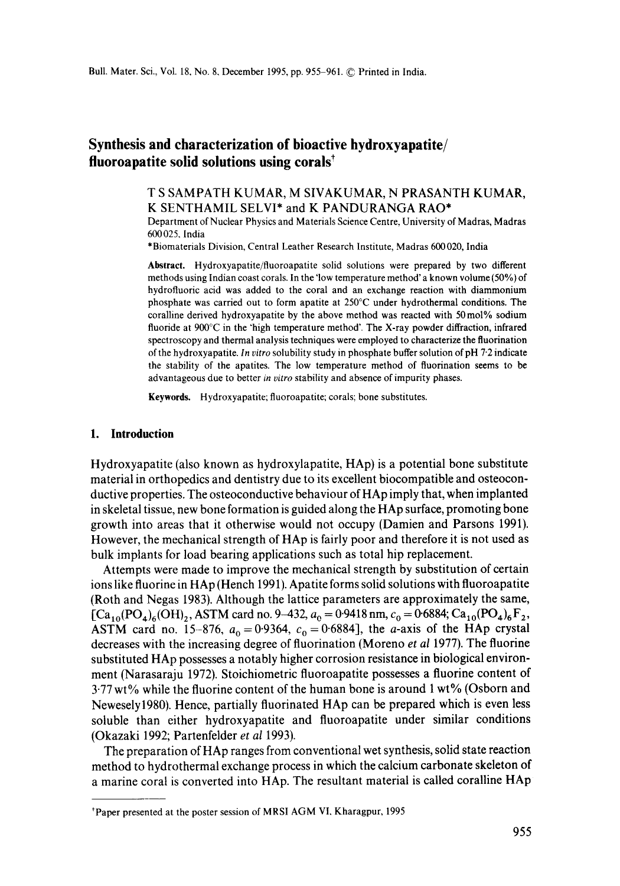# **Synthesis and characterization of bioactive hydroxyapatite/**  fluoroapatite solid solutions using corals<sup>†</sup>

## T S SAMPATH KUMAR, M SIVAKUMAR, N PRASANTH KUMAR, K SENTHAMIL SELVI\* and K PANDURANGA RAO\*

Department of Nuclear Physics and Materials Science Centre, University of Madras, Madras 600025. India

\*Biomaterials Division, Central Leather Research Institute, Madras 600020, India

**Abstract.** Hydroxyapatite/fluoroapatite solid solutions were prepared by two different methods using Indian coast corals. In the 'low temperature method' a known volume (50%) of hydrofluoric acid was added to the coral and an exchange reaction with diammonium phosphate was carried out to form apatite at 250°C under hydrothermal conditions. The coralline derived hydroxyapatite by the above method was reacted with 50 mol% sodium fluoride at 900°C in the 'high temperature method'. The X-ray powder diffraction, infrared spectroscopy and thermal analysis techniques were employed to characterize the fluorination of the hydroxyapatite. *In vitro* solubility study in phosphate buffer solution of pH 7.2 indicate the stability of the apatites. The low temperature method of fluorination seems to be advantageous due to better *in vitro* stability and absence of impurity phases.

Keywords. Hydroxyapatite; fluoroapatite; corals; bone substitutes.

#### **1. Introduction**

Hydroxyapatite (also known as hydroxylapatite, HAp) is a potential bone substitute material in orthopedics and dentistry due to its excellent biocompatible and osteoconductive properties. The osteoconductive behaviour of HAp imply that, when implanted in skeletal tissue, new bone formation is guided along the HAp surface, promoting bone growth into areas that it otherwise would not occupy (Damien and Parsons 1991). However, the mechanical strength of HAp is fairly poor and therefore it is not used as bulk implants for load bearing applications such as total hip replacement.

Attempts were made to improve the mechanical strength by substitution of certain ions like fluorine in HAp (Hench 1991). Apatite forms solid solutions with fluoroapatite (Roth and Negas 1983). Although the lattice parameters are approximately the same,  $[Ca_{10}(PO_4)_6(OH)_2$ , ASTM card no. 9-432,  $a_0 = 0.9418$  nm,  $c_0 = 0.6884$ ;  $Ca_{10}(PO_4)_6F_2$ , ASTM card no. 15-876,  $a_0 = 0.9364$ ,  $c_0 = 0.6884$ , the a-axis of the HAp crystal decreases with the increasing degree of fluorination (Moreno *et al* 1977). The fluorine substituted HAp possesses a notably higher corrosion resistance in biological environment (Narasaraju 1972). Stoichiometric fluoroapatite possesses a fluorine content of 3"77 wt% while the fluorine content of the human bone is around 1 wt% (Osborn and Newesely1980). Hence, partially fluorinated HAp can be prepared which is even less soluble than either hydroxyapatite and fluoroapatite under similar conditions (Okazaki 1992; Partenfelder *et al* 1993).

The preparation of HAp ranges from conventional wet synthesis, solid state reaction method to hydrothermal exchange process in which the calcium carbonate skeleton of a marine coral is converted into HAp. The resultant material is called coralline HAp

tPaper presented at the poster session of MRSI AGM VI, Kharagpur, 1995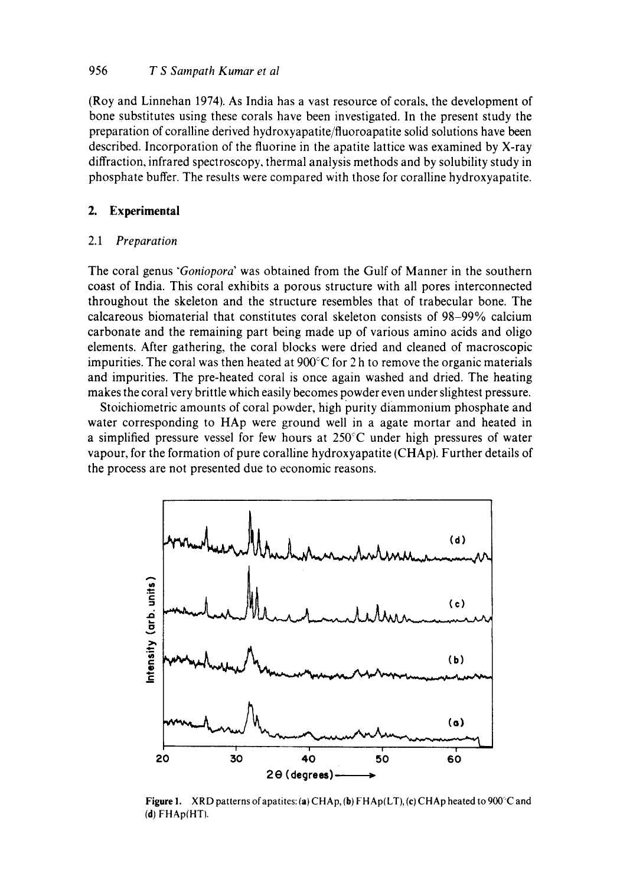## 956 *T S Sampath Kumar et al*

(Roy and Linnehan 1974)• As India has a vast resource of corals, the development of bone substitutes using these corals have been investigated. In the present study the preparation of coralline derived hydroxyapatite/fluoroapatite solid solutions have been described. Incorporation of the fluorine in the apatite lattice was examined by X-ray diffraction, infrared spectroscopy, thermal analysis methods and by solubility study in phosphate buffer. The results were compared with those for coralline hydroxyapatite.

### **2. Experimental**

#### *2.1 Preparation*

The coral genus *"Goniopora"* was obtained from the Gulf of Manner in the southern coast of India. This coral exhibits a porous structure with all pores interconnected throughout the skeleton and the structure resembles that of trabecular bone. The calcareous biomaterial that constitutes coral skeleton consists of 98-99% calcium carbonate and the remaining part being made up of various amino acids and oligo elements• After gathering, the coral blocks were dried and cleaned of macroscopic impurities. The coral was then heated at  $900^{\circ}$ C for 2 h to remove the organic materials and impurities. The pre-heated coral is once again washed and dried. The heating makes the coral very brittle which easily becomes powder even under slightest pressure.

Stoichiometric amounts of coral powder, high purity diammonium phosphate and water corresponding to HAp were ground well in a agate mortar and heated in a simplified pressure vessel for few hours at  $250^{\circ}$ C under high pressures of water vapour, for the formation of pure coralline hydroxyapatite (CHAp). Further details of the process are not presented due to economic reasons.



Figure 1. XRD patterns of apatites: (a) CHAp, (b) FHAp(LT), (c) CHAp heated to 900°C and  $(d)$   $FHAp(HT)$ .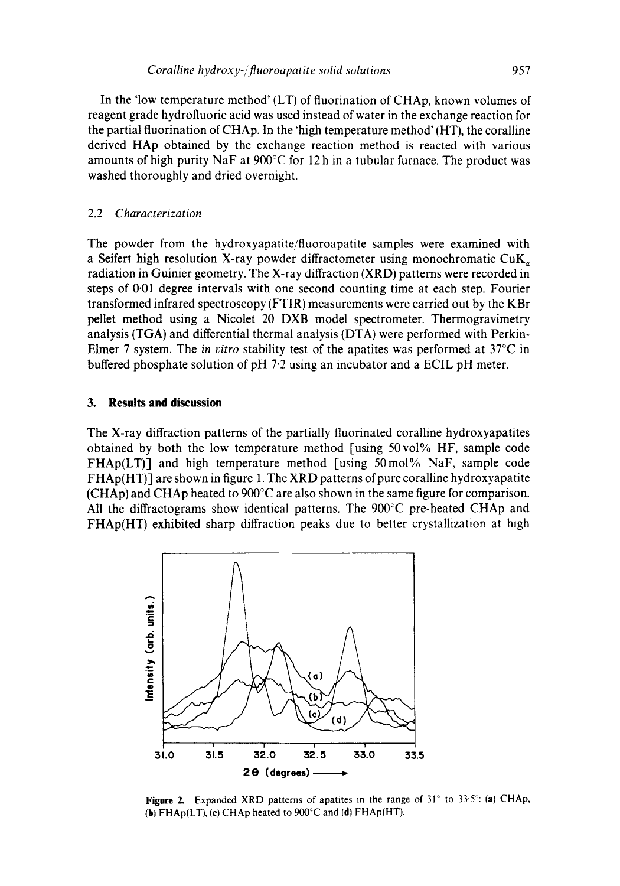In the 'low temperature method' (LT) of fluorination of CHAp, known volumes of reagent grade hydrofluoric acid was used instead of water in the exchange reaction for the partial fluorination of CHAp. In the 'high temperature method' (HT), the coralline derived HAp obtained by the exchange reaction method is reacted with various amounts of high purity NaF at  $900^{\circ}$ C for 12 h in a tubular furnace. The product was washed thoroughly and dried overnight.

#### 2.2 *Characterization*

The powder from the hydroxyapatite/fluoroapatite samples were examined with a Seifert high resolution X-ray powder diffractometer using monochromatic  $CuK_{\star}$ radiation in Guinier geometry. The X-ray diffraction (XRD) patterns were recorded in steps of 0.01 degree intervals with one second counting time at each step. Fourier transformed infrared spectroscopy (FTIR) measurements were carried out by the KBr pellet method using a Nicolet 20 DXB model spectrometer. Thermogravimetry analysis (TGA) and differential thermal analysis (DTA) were performed with Perkin-Elmer 7 system. The *in vitro* stability test of the apatites was performed at 37°C in buffered phosphate solution of pH 7.2 using an incubator and a ECIL pH meter.

### **3. Results and discussion**

The X-ray diffraction patterns of the partially fluorinated coralline hydroxyapatites obtained by both the low temperature method [using 50vo1% HF, sample code  $FHAp(LT)$ ] and high temperature method [using 50 mol% NaF, sample code FHAp(HT)] are shown in figure 1. The XRD patterns of pure coralline hydroxyapatite (CHAp) and CHAp heated to 900°C are also shown in the same figure for comparison. All the diffractograms show identical patterns. The 900°C pre-heated CHAp and FHAp(HT) exhibited sharp diffraction peaks due to better crystallization at high



Figure 2. Expanded XRD patterns of apatites in the range of  $31^\circ$  to  $33.5^\circ$ : (a) CHAp, (b) FHAp(LT), (c) CHAp heated to 900~C and (d) FHAp(HT).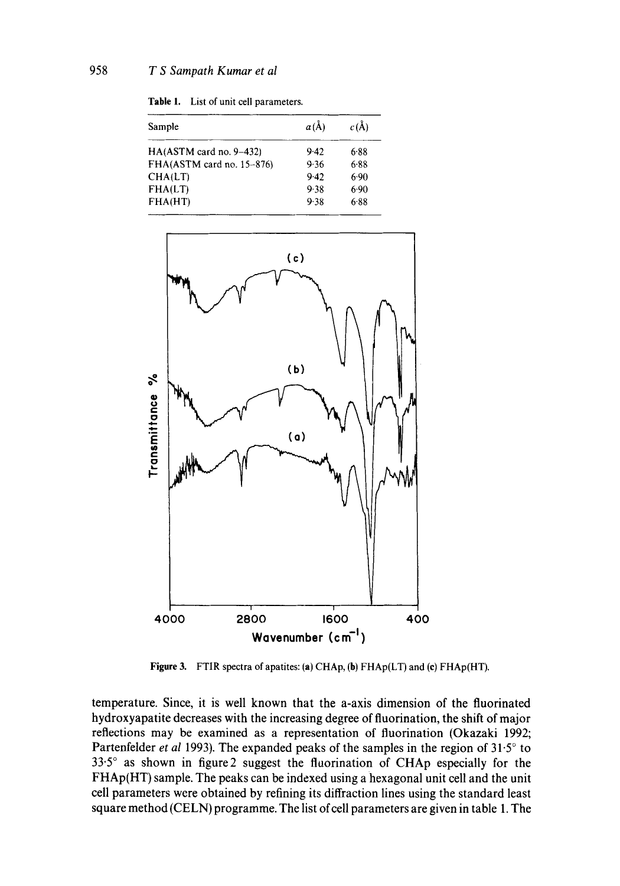Table 1. List of unit cell parameters.

| Sample                    | $a(\AA)$ | $c(\lambda)$ |
|---------------------------|----------|--------------|
| $HA(ASTM card no. 9-432)$ | 9.42     | 6.88         |
| FHA(ASTM card no. 15-876) | 9.36     | 6.88         |
| CHA(LT)                   | 9.42     | 6.90         |
| FHA(LT)                   | 9.38     | 6.90         |
| FHA(HT)                   | 9.38     | 6.88         |



Figure 3. FTIR spectra of apatites: (a) CHAp, (b) FHAp(LT) and (c) FHAp(HT).

temperature. Since, it is well known that the a-axis dimension of the fluorinated hydroxyapatite decreases with the increasing degree of fluorination, the shift of major reflections may be examined as a representation of fluorination (Okazaki 1992; Partenfelder *et al* 1993). The expanded peaks of the samples in the region of  $31.5^\circ$  to  $33.5^\circ$  as shown in figure 2 suggest the fluorination of CHAp especially for the FHAp(HT) sample. The peaks can be indexed using a hexagonal unit cell and the unit cell parameters were obtained by refining its diffraction lines using the standard least square method (CELN) programme. The list of cell parameters are given in table 1. The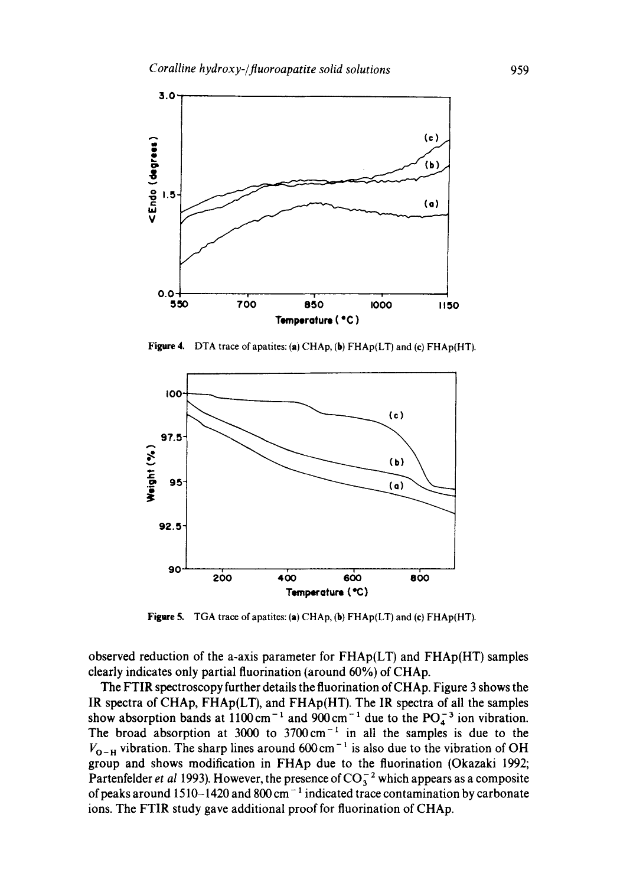

**Figure** 4. DTA trace of apatites: (a) CHAp, (b) FHAp(LT) and (e) FHAp(HT).



**Figure** 5. TGA trace of apatites: (a) CHAp, (b) FHAp(LT) and (¢) FHAp(HT).

observed reduction of the a-axis parameter for  $FHAp(LT)$  and  $FHAp(HT)$  samples clearly indicates only partial fluorination (around 60%) of CHAp.

The FTIR spectroscopy further details the fluorination of CHAp. Figure 3 shows the IR spectra of CHAp, FHAp(LT), and FHAp(HT). The IR spectra of all the samples show absorption bands at  $1100 \text{ cm}^{-1}$  and  $900 \text{ cm}^{-1}$  due to the PO<sub>4</sub><sup>3</sup> ion vibration. The broad absorption at 3000 to  $3700 \text{ cm}^{-1}$  in all the samples is due to the  $V_{O-H}$  vibration. The sharp lines around 600 cm<sup>-1</sup> is also due to the vibration of OH group and shows modification in FHAp due to the fluorination (Okazaki 1992; Partenfelder *et al* 1993). However, the presence of  $CO<sub>3</sub><sup>-2</sup>$  which appears as a composite of peaks around 1510-1420 and 800 cm<sup>-1</sup> indicated trace contamination by carbonate ions. The FTIR study gave additional proof for fluorination of CHAp.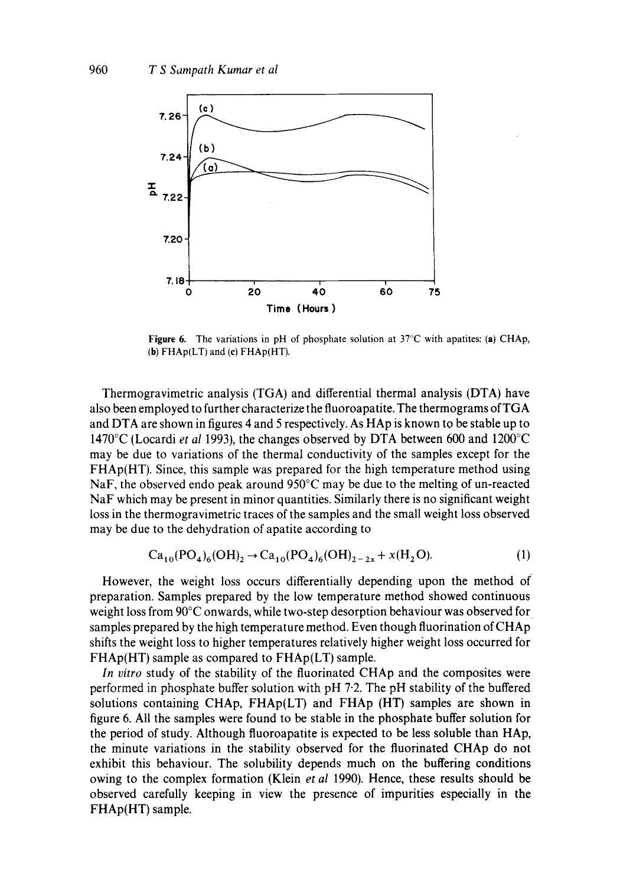

**Figure 6.** The variations in pH of phosphate solution at  $37^{\circ}$ C with apatites: (a) CHAp, (b) FHAp(LT) and (e) FHAp(HT).

Thermogravimetric analysis (TGA) and differential thermal analysis (DTA) have also been employed to further characterize the fluoroapatite. The thermograms of TGA and DTA are shown in figures 4 and 5 respectively. As HAp is known to be stable up to 1470°C (Locardi *et al* 1993), the changes observed by DTA between 600 and 1200°C may be due to variations of the thermal conductivity of the samples except for the FHAp(HT). Since, this sample was prepared for the high temperature method using NaF, the observed endo peak around 950°C may be due to the melting of un-reacted NaF which may be present in minor quantities. Similarly there is no significant weight loss in the thermogravimetric traces of the samples and the small weight loss observed may be due to the dehydration of apatite according to

$$
\text{Ca}_{10}(\text{PO}_4)_6(\text{OH})_2 \to \text{Ca}_{10}(\text{PO}_4)_6(\text{OH})_{2-2x} + x(\text{H}_2\text{O}).\tag{1}
$$

However, the weight loss occurs differentially depending upon the method of preparation. Samples prepared by the low temperature method showed continuous weight loss from 90°C onwards, while two-step desorption behaviour was observed for samples prepared by the high temperature method. Even though fluorination of CHAp shifts the weight loss to higher temperatures relatively higher weight loss occurred for FHAp(HT) sample as compared to FHAp(LT) sample.

*In vitro* study of the stability of the fluorinated CHAp and the composites were performed in phosphate buffer solution with pH 7-2. The pH stability of the buffered solutions containing CHAp, FHAp(LT) and FHAp (HT) samples are shown in figure 6. All the samples were found to be stable in the phosphate buffer solution for the period of study. Although fluoroapatite is expected to be less soluble than HAp, the minute variations in the stability observed for the fluorinated CHAp do not exhibit this behaviour. The solubility depends much on the buffering conditions owing to the complex formation (Klein *et al* 1990). Hence, these results should be observed carefully keeping in view the presence of impurities especially in the FHAp(HT) sample.